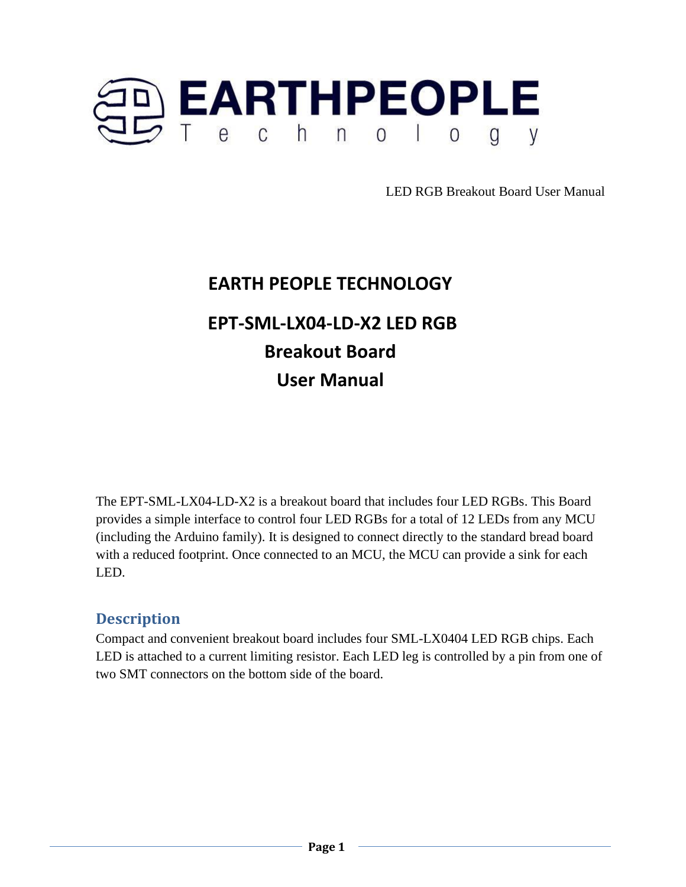

# **EARTH PEOPLE TECHNOLOGY EPT-SML-LX04-LD-X2 LED RGB Breakout Board User Manual**

The EPT-SML-LX04-LD-X2 is a breakout board that includes four LED RGBs. This Board provides a simple interface to control four LED RGBs for a total of 12 LEDs from any MCU (including the Arduino family). It is designed to connect directly to the standard bread board with a reduced footprint. Once connected to an MCU, the MCU can provide a sink for each LED.

# **Description**

Compact and convenient breakout board includes four SML-LX0404 LED RGB chips. Each LED is attached to a current limiting resistor. Each LED leg is controlled by a pin from one of two SMT connectors on the bottom side of the board.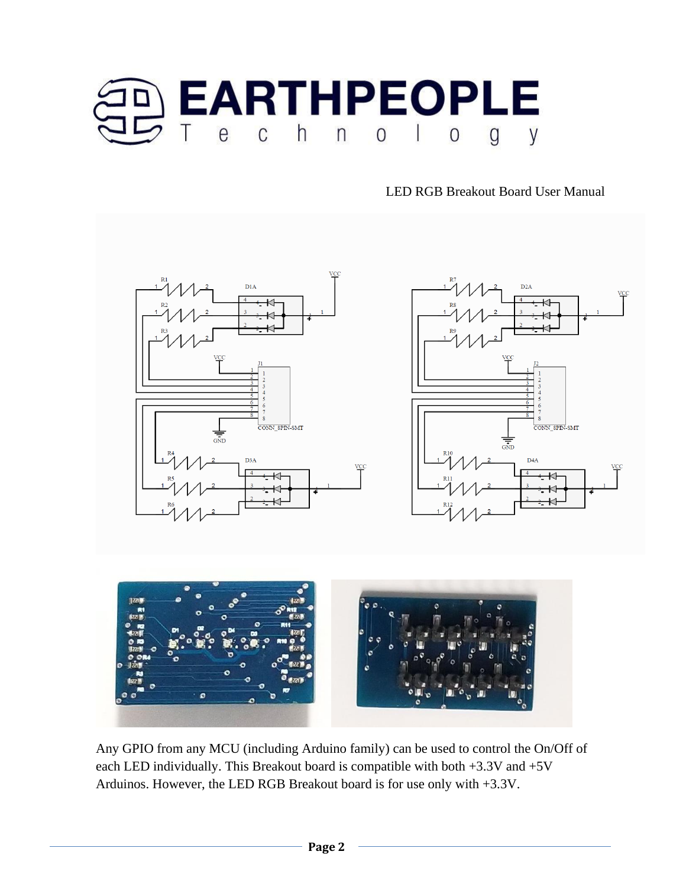







Any GPIO from any MCU (including Arduino family) can be used to control the On/Off of each LED individually. This Breakout board is compatible with both +3.3V and +5V Arduinos. However, the LED RGB Breakout board is for use only with +3.3V.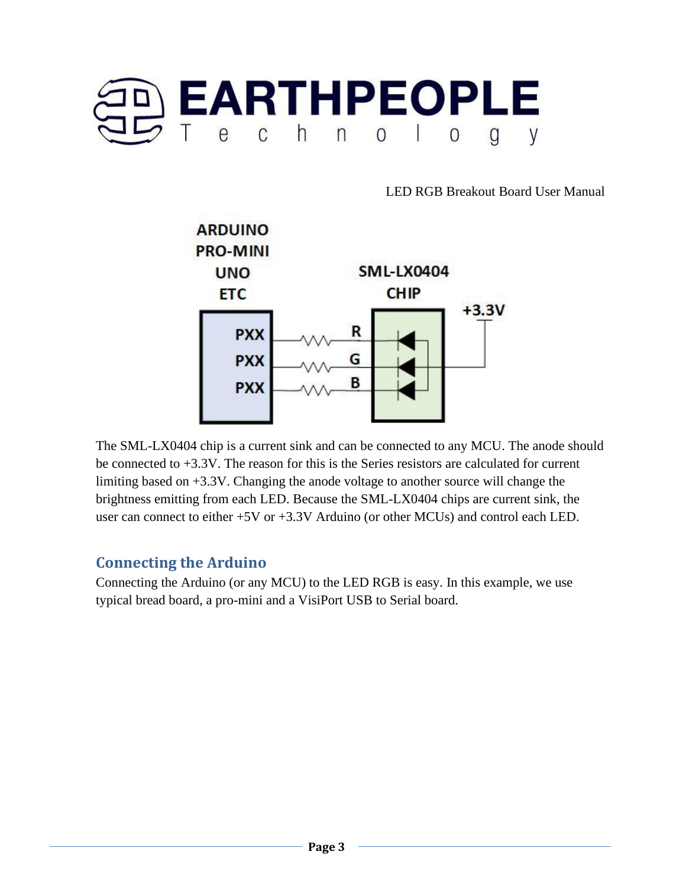



The SML-LX0404 chip is a current sink and can be connected to any MCU. The anode should be connected to +3.3V. The reason for this is the Series resistors are calculated for current limiting based on +3.3V. Changing the anode voltage to another source will change the brightness emitting from each LED. Because the SML-LX0404 chips are current sink, the user can connect to either +5V or +3.3V Arduino (or other MCUs) and control each LED.

### **Connecting the Arduino**

Connecting the Arduino (or any MCU) to the LED RGB is easy. In this example, we use typical bread board, a pro-mini and a VisiPort USB to Serial board.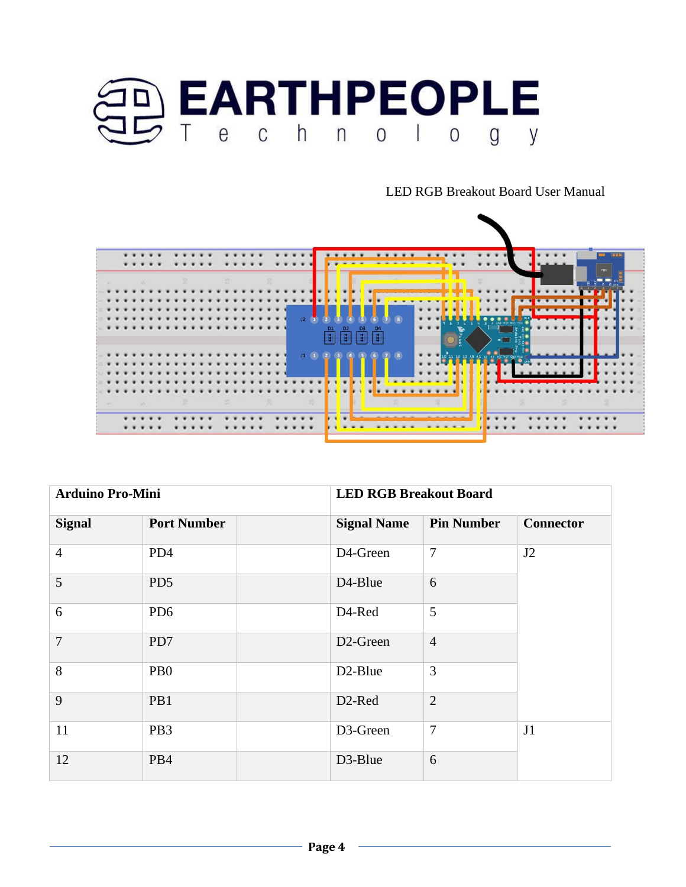



| <b>Arduino Pro-Mini</b> |                    | <b>LED RGB Breakout Board</b> |                       |                   |                  |
|-------------------------|--------------------|-------------------------------|-----------------------|-------------------|------------------|
| <b>Signal</b>           | <b>Port Number</b> |                               | <b>Signal Name</b>    | <b>Pin Number</b> | <b>Connector</b> |
| $\overline{4}$          | PD4                |                               | D4-Green              | 7                 | J2               |
| 5                       | PD5                |                               | D <sub>4</sub> -Blue  | 6                 |                  |
| 6                       | PD <sub>6</sub>    |                               | D4-Red                | 5                 |                  |
| $\overline{7}$          | PD7                |                               | D <sub>2</sub> -Green | $\overline{4}$    |                  |
| 8                       | P <sub>B</sub> O   |                               | D <sub>2</sub> -Blue  | 3                 |                  |
| 9                       | PB1                |                               | D <sub>2</sub> -Red   | $\overline{2}$    |                  |
| 11                      | PB <sub>3</sub>    |                               | D3-Green              | 7                 | J1               |
| 12                      | PB4                |                               | D3-Blue               | 6                 |                  |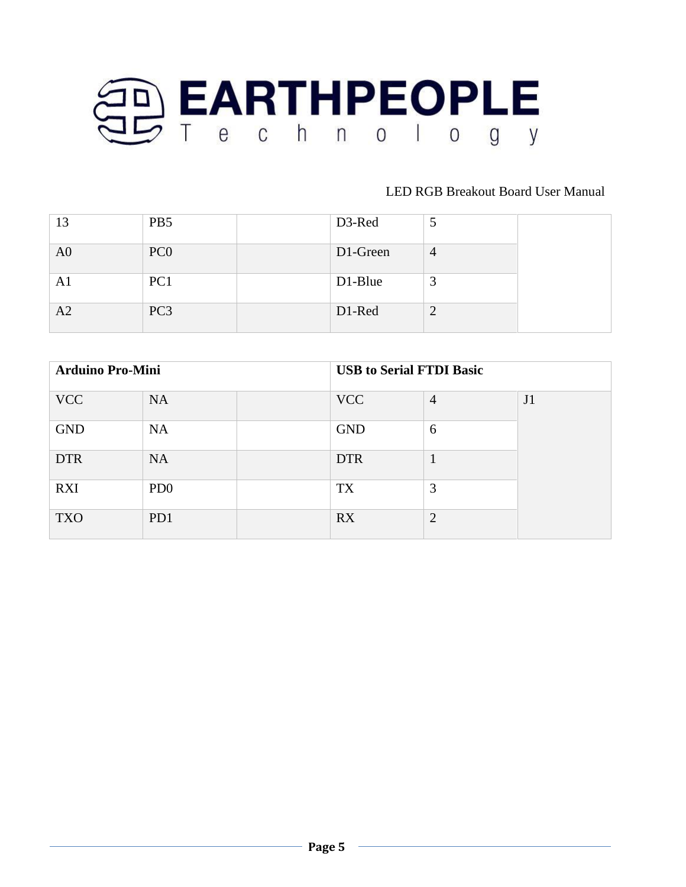

| 13             | PB <sub>5</sub> | D3-Red   |                |
|----------------|-----------------|----------|----------------|
| A <sub>0</sub> | PC <sub>0</sub> | D1-Green | $\overline{4}$ |
| A1             | PC <sub>1</sub> | D1-Blue  |                |
| A2             | PC <sub>3</sub> | D1-Red   |                |

| <b>Arduino Pro-Mini</b> |                             |  | <b>USB to Serial FTDI Basic</b> |                |    |
|-------------------------|-----------------------------|--|---------------------------------|----------------|----|
| <b>VCC</b>              | <b>NA</b>                   |  | <b>VCC</b>                      | $\overline{4}$ | J1 |
| <b>GND</b>              | <b>NA</b>                   |  | <b>GND</b>                      | 6              |    |
| <b>DTR</b>              | <b>NA</b>                   |  | <b>DTR</b>                      |                |    |
| <b>RXI</b>              | P <sub>D</sub> <sub>0</sub> |  | TX                              | 3              |    |
| <b>TXO</b>              | PD1                         |  | <b>RX</b>                       | $\overline{2}$ |    |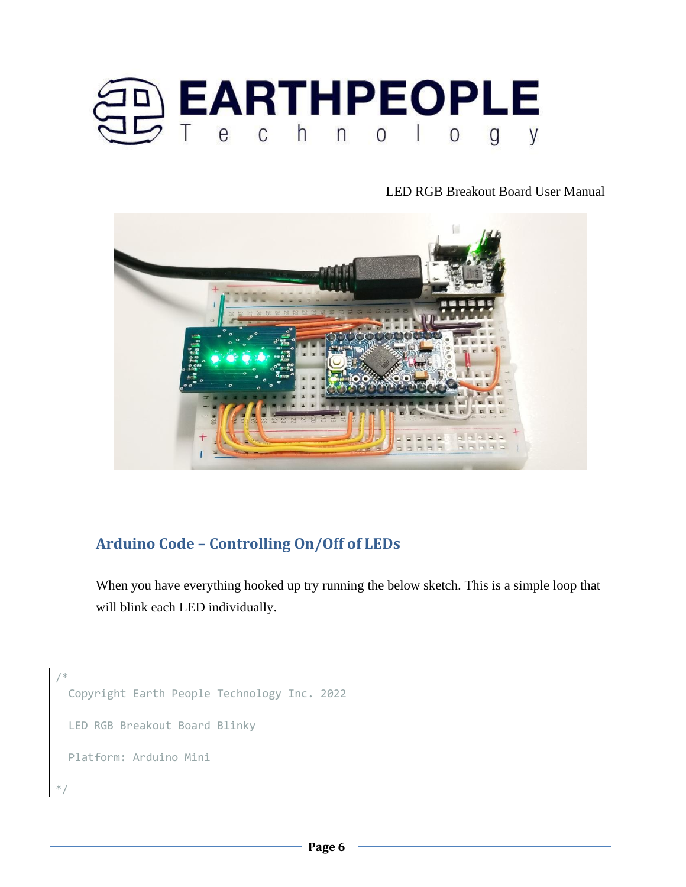



# **Arduino Code – Controlling On/Off of LEDs**

When you have everything hooked up try running the below sketch. This is a simple loop that will blink each LED individually.

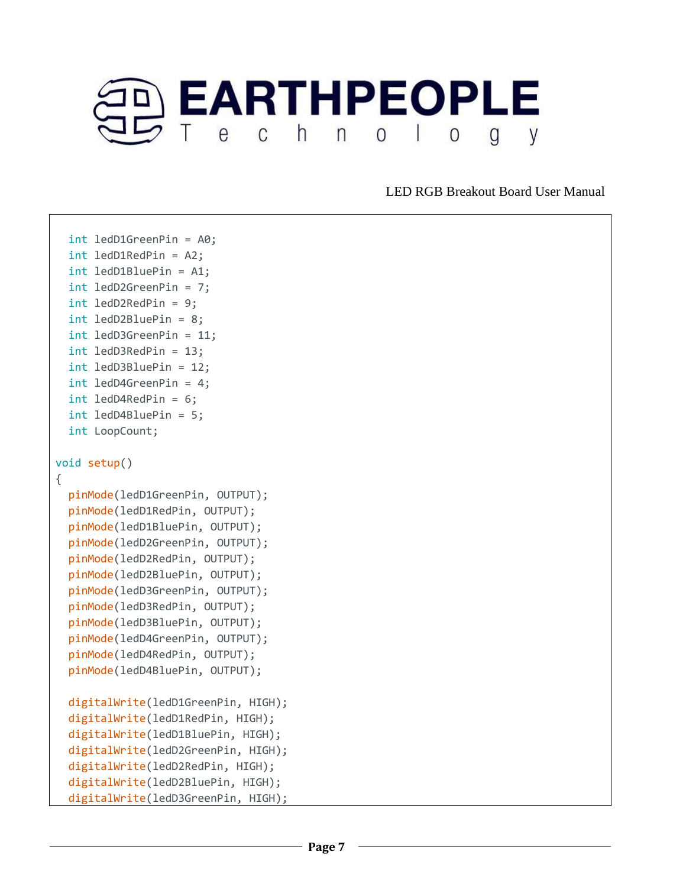

```
 int ledD1GreenPin = A0;
   int ledD1RedPin = A2;
   int ledD1BluePin = A1;
   int ledD2GreenPin = 7;
   int ledD2RedPin = 9;
   int ledD2BluePin = 8;
   int ledD3GreenPin = 11;
  int ledD3RedPin = 13;
  int ledD3BluePin = 12;
   int ledD4GreenPin = 4;
  int ledD4RedPin = 6;
  int ledD4BluePin = 5;
  int LoopCount;
void setup()
{
   pinMode(ledD1GreenPin, OUTPUT);
   pinMode(ledD1RedPin, OUTPUT);
   pinMode(ledD1BluePin, OUTPUT);
   pinMode(ledD2GreenPin, OUTPUT);
   pinMode(ledD2RedPin, OUTPUT);
   pinMode(ledD2BluePin, OUTPUT);
   pinMode(ledD3GreenPin, OUTPUT);
   pinMode(ledD3RedPin, OUTPUT);
   pinMode(ledD3BluePin, OUTPUT);
   pinMode(ledD4GreenPin, OUTPUT);
   pinMode(ledD4RedPin, OUTPUT);
   pinMode(ledD4BluePin, OUTPUT);
   digitalWrite(ledD1GreenPin, HIGH);
   digitalWrite(ledD1RedPin, HIGH);
   digitalWrite(ledD1BluePin, HIGH);
   digitalWrite(ledD2GreenPin, HIGH);
   digitalWrite(ledD2RedPin, HIGH);
   digitalWrite(ledD2BluePin, HIGH);
   digitalWrite(ledD3GreenPin, HIGH);
```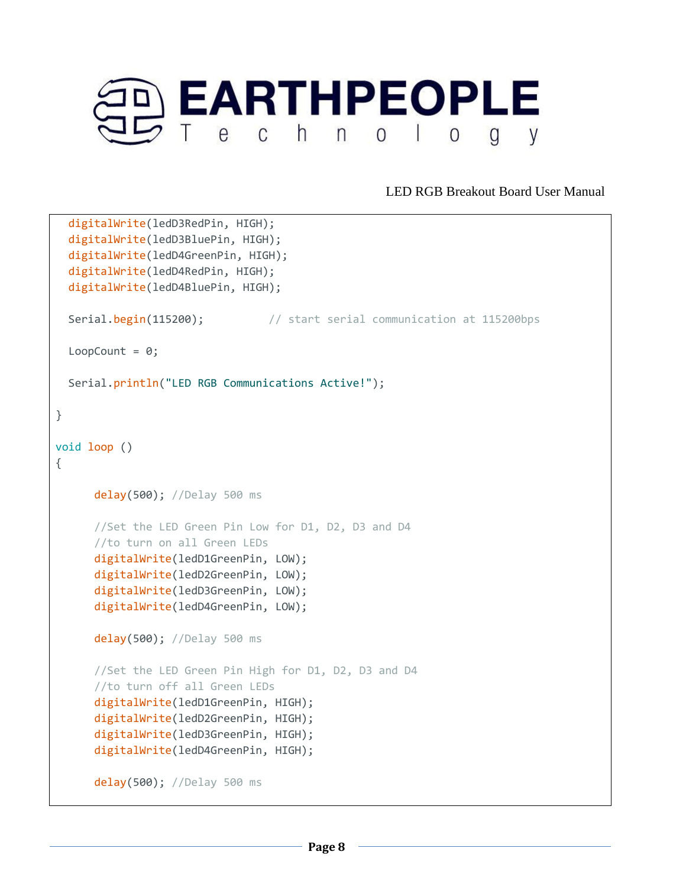

```
 digitalWrite(ledD3RedPin, HIGH);
   digitalWrite(ledD3BluePin, HIGH);
   digitalWrite(ledD4GreenPin, HIGH);
   digitalWrite(ledD4RedPin, HIGH);
   digitalWrite(ledD4BluePin, HIGH);
 Serial.begin(115200); \frac{1}{2} // start serial communication at 115200bps
 LoopCount = 0;
  Serial.println("LED RGB Communications Active!");
}
void loop ()
{
       delay(500); //Delay 500 ms
       //Set the LED Green Pin Low for D1, D2, D3 and D4
       //to turn on all Green LEDs
       digitalWrite(ledD1GreenPin, LOW);
       digitalWrite(ledD2GreenPin, LOW);
       digitalWrite(ledD3GreenPin, LOW);
       digitalWrite(ledD4GreenPin, LOW);
       delay(500); //Delay 500 ms
       //Set the LED Green Pin High for D1, D2, D3 and D4
       //to turn off all Green LEDs
       digitalWrite(ledD1GreenPin, HIGH);
       digitalWrite(ledD2GreenPin, HIGH);
       digitalWrite(ledD3GreenPin, HIGH);
       digitalWrite(ledD4GreenPin, HIGH);
       delay(500); //Delay 500 ms
```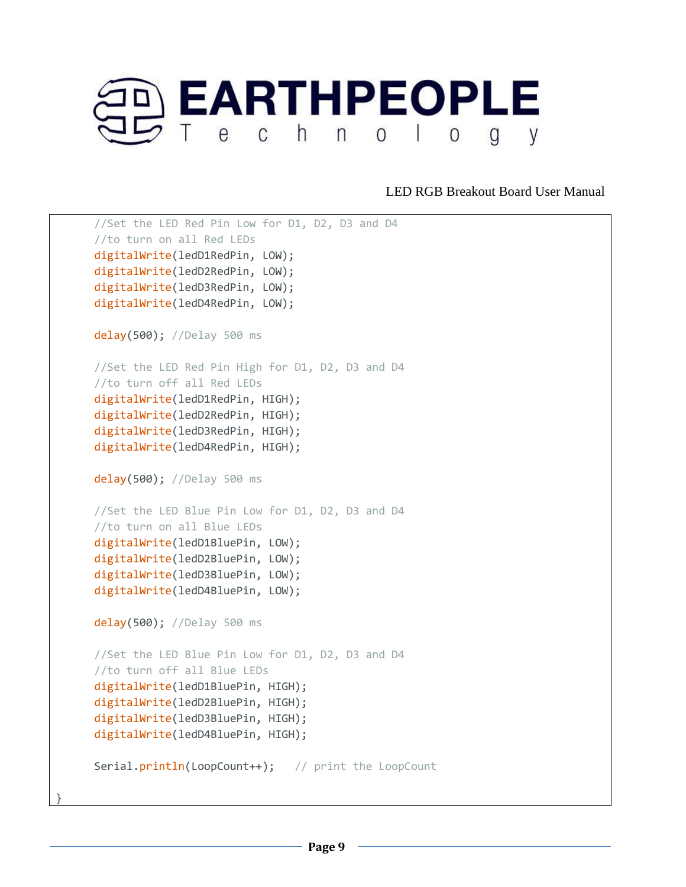

```
 //Set the LED Red Pin Low for D1, D2, D3 and D4
 //to turn on all Red LEDs
 digitalWrite(ledD1RedPin, LOW);
 digitalWrite(ledD2RedPin, LOW);
 digitalWrite(ledD3RedPin, LOW);
 digitalWrite(ledD4RedPin, LOW);
 delay(500); //Delay 500 ms
 //Set the LED Red Pin High for D1, D2, D3 and D4
 //to turn off all Red LEDs
 digitalWrite(ledD1RedPin, HIGH);
 digitalWrite(ledD2RedPin, HIGH);
 digitalWrite(ledD3RedPin, HIGH);
 digitalWrite(ledD4RedPin, HIGH);
 delay(500); //Delay 500 ms
 //Set the LED Blue Pin Low for D1, D2, D3 and D4
 //to turn on all Blue LEDs
 digitalWrite(ledD1BluePin, LOW);
 digitalWrite(ledD2BluePin, LOW);
 digitalWrite(ledD3BluePin, LOW);
 digitalWrite(ledD4BluePin, LOW);
 delay(500); //Delay 500 ms
 //Set the LED Blue Pin Low for D1, D2, D3 and D4
 //to turn off all Blue LEDs
 digitalWrite(ledD1BluePin, HIGH);
 digitalWrite(ledD2BluePin, HIGH);
 digitalWrite(ledD3BluePin, HIGH);
 digitalWrite(ledD4BluePin, HIGH);
Serial.println(LoopCount++); // print the LoopCount
```
}